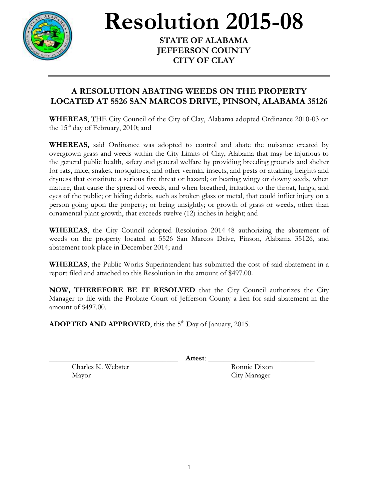

**Resolution 2015-08** 

**STATE OF ALABAMA JEFFERSON COUNTY CITY OF CLAY**

## **A RESOLUTION ABATING WEEDS ON THE PROPERTY LOCATED AT 5526 SAN MARCOS DRIVE, PINSON, ALABAMA 35126**

**WHEREAS**, THE City Council of the City of Clay, Alabama adopted Ordinance 2010-03 on the  $15<sup>th</sup>$  day of February, 2010; and

**WHEREAS,** said Ordinance was adopted to control and abate the nuisance created by overgrown grass and weeds within the City Limits of Clay, Alabama that may be injurious to the general public health, safety and general welfare by providing breeding grounds and shelter for rats, mice, snakes, mosquitoes, and other vermin, insects, and pests or attaining heights and dryness that constitute a serious fire threat or hazard; or bearing wingy or downy seeds, when mature, that cause the spread of weeds, and when breathed, irritation to the throat, lungs, and eyes of the public; or hiding debris, such as broken glass or metal, that could inflict injury on a person going upon the property; or being unsightly; or growth of grass or weeds, other than ornamental plant growth, that exceeds twelve (12) inches in height; and

**WHEREAS**, the City Council adopted Resolution 2014-48 authorizing the abatement of weeds on the property located at 5526 San Marcos Drive, Pinson, Alabama 35126, and abatement took place in December 2014; and

**WHEREAS**, the Public Works Superintendent has submitted the cost of said abatement in a report filed and attached to this Resolution in the amount of \$497.00.

**NOW, THEREFORE BE IT RESOLVED** that the City Council authorizes the City Manager to file with the Probate Court of Jefferson County a lien for said abatement in the amount of \$497.00.

ADOPTED AND APPROVED, this the 5<sup>th</sup> Day of January, 2015.

\_\_\_\_\_\_\_\_\_\_\_\_\_\_\_\_\_\_\_\_\_\_\_\_\_\_\_\_\_\_\_\_\_\_ **Attest**: \_\_\_\_\_\_\_\_\_\_\_\_\_\_\_\_\_\_\_\_\_\_\_\_\_\_\_\_

Charles K. Webster Ronnie Dixon Mayor City Manager